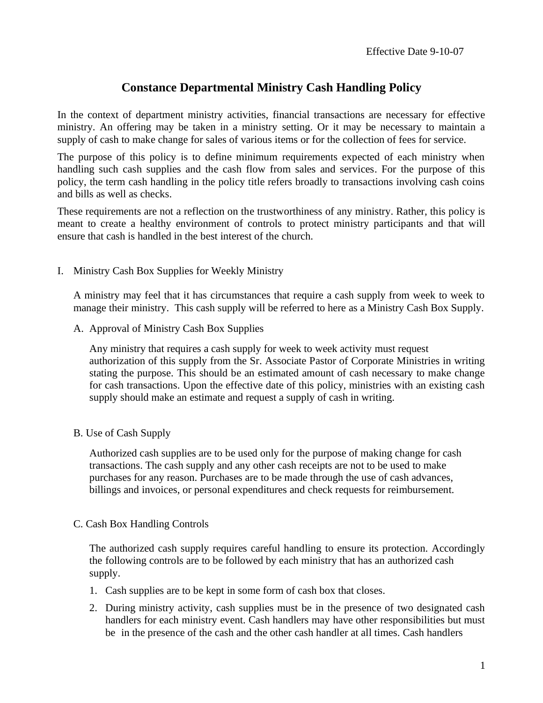## **Constance Departmental Ministry Cash Handling Policy**

In the context of department ministry activities, financial transactions are necessary for effective ministry. An offering may be taken in a ministry setting. Or it may be necessary to maintain a supply of cash to make change for sales of various items or for the collection of fees for service.

The purpose of this policy is to define minimum requirements expected of each ministry when handling such cash supplies and the cash flow from sales and services. For the purpose of this policy, the term cash handling in the policy title refers broadly to transactions involving cash coins and bills as well as checks.

These requirements are not a reflection on the trustworthiness of any ministry. Rather, this policy is meant to create a healthy environment of controls to protect ministry participants and that will ensure that cash is handled in the best interest of the church.

I. Ministry Cash Box Supplies for Weekly Ministry

A ministry may feel that it has circumstances that require a cash supply from week to week to manage their ministry. This cash supply will be referred to here as a Ministry Cash Box Supply.

A. Approval of Ministry Cash Box Supplies

Any ministry that requires a cash supply for week to week activity must request authorization of this supply from the Sr. Associate Pastor of Corporate Ministries in writing stating the purpose. This should be an estimated amount of cash necessary to make change for cash transactions. Upon the effective date of this policy, ministries with an existing cash supply should make an estimate and request a supply of cash in writing.

B. Use of Cash Supply

Authorized cash supplies are to be used only for the purpose of making change for cash transactions. The cash supply and any other cash receipts are not to be used to make purchases for any reason. Purchases are to be made through the use of cash advances, billings and invoices, or personal expenditures and check requests for reimbursement.

C. Cash Box Handling Controls

The authorized cash supply requires careful handling to ensure its protection. Accordingly the following controls are to be followed by each ministry that has an authorized cash supply.

- 1. Cash supplies are to be kept in some form of cash box that closes.
- 2. During ministry activity, cash supplies must be in the presence of two designated cash handlers for each ministry event. Cash handlers may have other responsibilities but must be in the presence of the cash and the other cash handler at all times. Cash handlers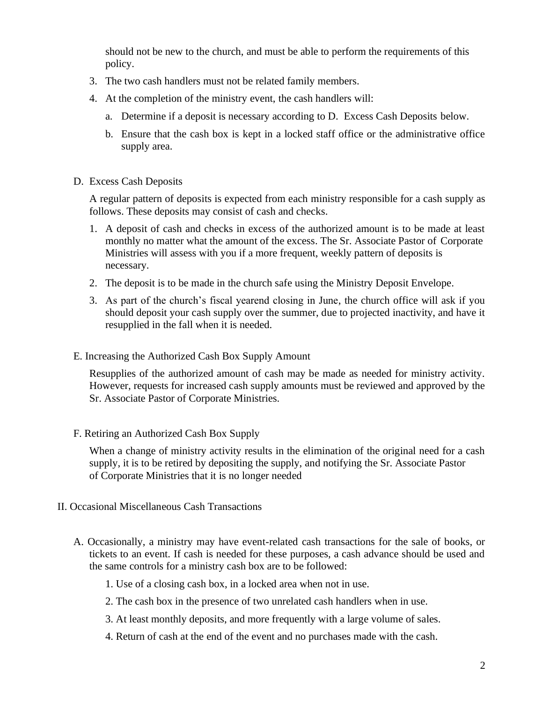should not be new to the church, and must be able to perform the requirements of this policy.

- 3. The two cash handlers must not be related family members.
- 4. At the completion of the ministry event, the cash handlers will:
	- a. Determine if a deposit is necessary according to D. Excess Cash Deposits below.
	- b. Ensure that the cash box is kept in a locked staff office or the administrative office supply area.
- D. Excess Cash Deposits

A regular pattern of deposits is expected from each ministry responsible for a cash supply as follows. These deposits may consist of cash and checks.

- 1. A deposit of cash and checks in excess of the authorized amount is to be made at least monthly no matter what the amount of the excess. The Sr. Associate Pastor of Corporate Ministries will assess with you if a more frequent, weekly pattern of deposits is necessary.
- 2. The deposit is to be made in the church safe using the Ministry Deposit Envelope.
- 3. As part of the church's fiscal yearend closing in June, the church office will ask if you should deposit your cash supply over the summer, due to projected inactivity, and have it resupplied in the fall when it is needed.
- E. Increasing the Authorized Cash Box Supply Amount

Resupplies of the authorized amount of cash may be made as needed for ministry activity. However, requests for increased cash supply amounts must be reviewed and approved by the Sr. Associate Pastor of Corporate Ministries.

F. Retiring an Authorized Cash Box Supply

When a change of ministry activity results in the elimination of the original need for a cash supply, it is to be retired by depositing the supply, and notifying the Sr. Associate Pastor of Corporate Ministries that it is no longer needed

- II. Occasional Miscellaneous Cash Transactions
	- A. Occasionally, a ministry may have event-related cash transactions for the sale of books, or tickets to an event. If cash is needed for these purposes, a cash advance should be used and the same controls for a ministry cash box are to be followed:
		- 1. Use of a closing cash box, in a locked area when not in use.
		- 2. The cash box in the presence of two unrelated cash handlers when in use.
		- 3. At least monthly deposits, and more frequently with a large volume of sales.
		- 4. Return of cash at the end of the event and no purchases made with the cash.